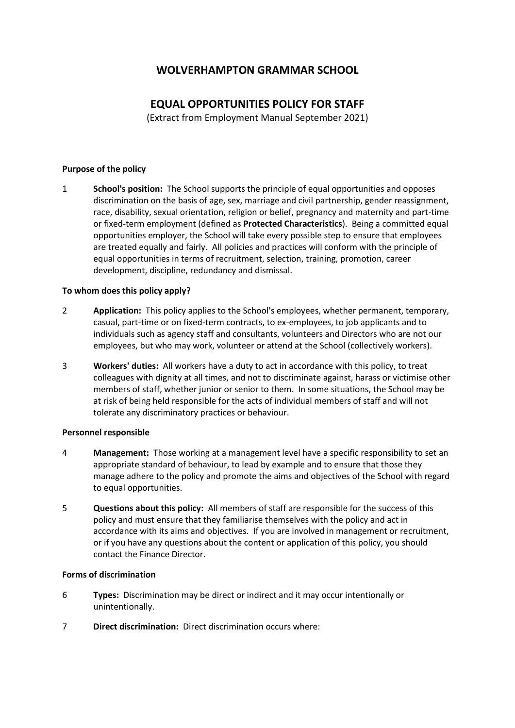# **WOLVERHAMPTON GRAMMAR SCHOOL**

# **EQUAL OPPORTUNITIES POLICY FOR STAFF**

(Extract from Employment Manual September 2021)

## **Purpose of the policy**

1 **School's position:** The School supports the principle of equal opportunities and opposes discrimination on the basis of age, sex, marriage and civil partnership, gender reassignment, race, disability, sexual orientation, religion or belief, pregnancy and maternity and part-time or fixed-term employment (defined as **Protected Characteristics**). Being a committed equal opportunities employer, the School will take every possible step to ensure that employees are treated equally and fairly. All policies and practices will conform with the principle of equal opportunities in terms of recruitment, selection, training, promotion, career development, discipline, redundancy and dismissal.

## **To whom does this policy apply?**

- 2 **Application:** This policy applies to the School's employees, whether permanent, temporary, casual, part-time or on fixed-term contracts, to ex-employees, to job applicants and to individuals such as agency staff and consultants, volunteers and Directors who are not our employees, but who may work, volunteer or attend at the School (collectively workers).
- 3 **Workers' duties:** All workers have a duty to act in accordance with this policy, to treat colleagues with dignity at all times, and not to discriminate against, harass or victimise other members of staff, whether junior or senior to them. In some situations, the School may be at risk of being held responsible for the acts of individual members of staff and will not tolerate any discriminatory practices or behaviour.

### **Personnel responsible**

- 4 **Management:** Those working at a management level have a specific responsibility to set an appropriate standard of behaviour, to lead by example and to ensure that those they manage adhere to the policy and promote the aims and objectives of the School with regard to equal opportunities.
- 5 **Questions about this policy:** All members of staff are responsible for the success of this policy and must ensure that they familiarise themselves with the policy and act in accordance with its aims and objectives. If you are involved in management or recruitment, or if you have any questions about the content or application of this policy, you should contact the Finance Director.

### **Forms of discrimination**

- 6 **Types:** Discrimination may be direct or indirect and it may occur intentionally or unintentionally.
- 7 **Direct discrimination:** Direct discrimination occurs where: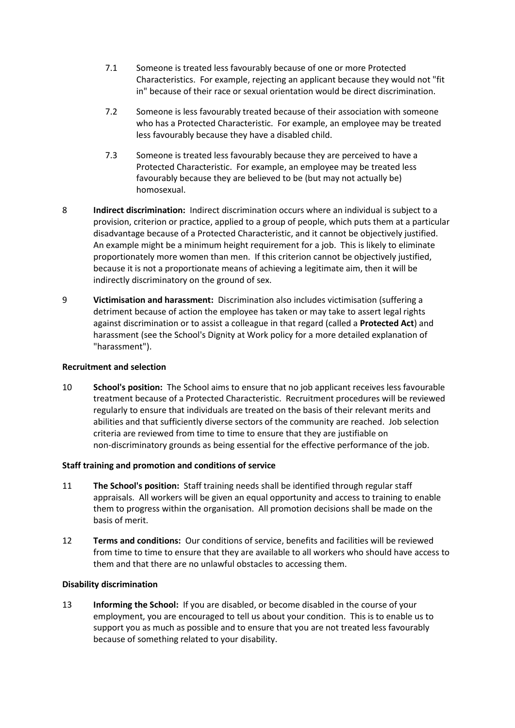- 7.1 Someone is treated less favourably because of one or more Protected Characteristics. For example, rejecting an applicant because they would not "fit in" because of their race or sexual orientation would be direct discrimination.
- 7.2 Someone is less favourably treated because of their association with someone who has a Protected Characteristic. For example, an employee may be treated less favourably because they have a disabled child.
- 7.3 Someone is treated less favourably because they are perceived to have a Protected Characteristic. For example, an employee may be treated less favourably because they are believed to be (but may not actually be) homosexual.
- 8 **Indirect discrimination:** Indirect discrimination occurs where an individual is subject to a provision, criterion or practice, applied to a group of people, which puts them at a particular disadvantage because of a Protected Characteristic, and it cannot be objectively justified. An example might be a minimum height requirement for a job. This is likely to eliminate proportionately more women than men. If this criterion cannot be objectively justified, because it is not a proportionate means of achieving a legitimate aim, then it will be indirectly discriminatory on the ground of sex.
- 9 **Victimisation and harassment:** Discrimination also includes victimisation (suffering a detriment because of action the employee has taken or may take to assert legal rights against discrimination or to assist a colleague in that regard (called a **Protected Act**) and harassment (see the School's Dignity at Work policy for a more detailed explanation of "harassment").

## **Recruitment and selection**

10 **School's position:** The School aims to ensure that no job applicant receives less favourable treatment because of a Protected Characteristic. Recruitment procedures will be reviewed regularly to ensure that individuals are treated on the basis of their relevant merits and abilities and that sufficiently diverse sectors of the community are reached. Job selection criteria are reviewed from time to time to ensure that they are justifiable on non-discriminatory grounds as being essential for the effective performance of the job.

# **Staff training and promotion and conditions of service**

- 11 **The School's position:** Staff training needs shall be identified through regular staff appraisals. All workers will be given an equal opportunity and access to training to enable them to progress within the organisation. All promotion decisions shall be made on the basis of merit.
- 12 **Terms and conditions:** Our conditions of service, benefits and facilities will be reviewed from time to time to ensure that they are available to all workers who should have access to them and that there are no unlawful obstacles to accessing them.

### **Disability discrimination**

13 **Informing the School:** If you are disabled, or become disabled in the course of your employment, you are encouraged to tell us about your condition. This is to enable us to support you as much as possible and to ensure that you are not treated less favourably because of something related to your disability.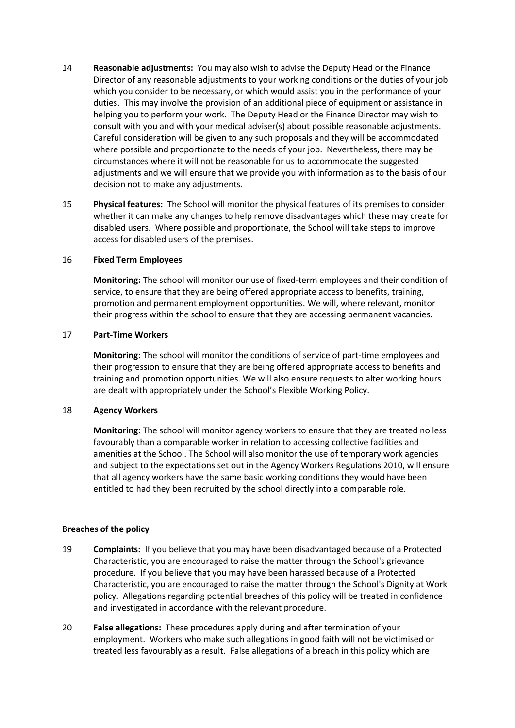- 14 **Reasonable adjustments:** You may also wish to advise the Deputy Head or the Finance Director of any reasonable adjustments to your working conditions or the duties of your job which you consider to be necessary, or which would assist you in the performance of your duties. This may involve the provision of an additional piece of equipment or assistance in helping you to perform your work. The Deputy Head or the Finance Director may wish to consult with you and with your medical adviser(s) about possible reasonable adjustments. Careful consideration will be given to any such proposals and they will be accommodated where possible and proportionate to the needs of your job. Nevertheless, there may be circumstances where it will not be reasonable for us to accommodate the suggested adjustments and we will ensure that we provide you with information as to the basis of our decision not to make any adjustments.
- 15 **Physical features:** The School will monitor the physical features of its premises to consider whether it can make any changes to help remove disadvantages which these may create for disabled users. Where possible and proportionate, the School will take steps to improve access for disabled users of the premises.

### 16 **Fixed Term Employees**

**Monitoring:** The school will monitor our use of fixed-term employees and their condition of service, to ensure that they are being offered appropriate access to benefits, training, promotion and permanent employment opportunities. We will, where relevant, monitor their progress within the school to ensure that they are accessing permanent vacancies.

### 17 **Part-Time Workers**

**Monitoring:** The school will monitor the conditions of service of part-time employees and their progression to ensure that they are being offered appropriate access to benefits and training and promotion opportunities. We will also ensure requests to alter working hours are dealt with appropriately under the School's Flexible Working Policy.

### 18 **Agency Workers**

**Monitoring:** The school will monitor agency workers to ensure that they are treated no less favourably than a comparable worker in relation to accessing collective facilities and amenities at the School. The School will also monitor the use of temporary work agencies and subject to the expectations set out in the Agency Workers Regulations 2010, will ensure that all agency workers have the same basic working conditions they would have been entitled to had they been recruited by the school directly into a comparable role.

### **Breaches of the policy**

- 19 **Complaints:** If you believe that you may have been disadvantaged because of a Protected Characteristic, you are encouraged to raise the matter through the School's grievance procedure. If you believe that you may have been harassed because of a Protected Characteristic, you are encouraged to raise the matter through the School's Dignity at Work policy. Allegations regarding potential breaches of this policy will be treated in confidence and investigated in accordance with the relevant procedure.
- 20 **False allegations:** These procedures apply during and after termination of your employment. Workers who make such allegations in good faith will not be victimised or treated less favourably as a result. False allegations of a breach in this policy which are